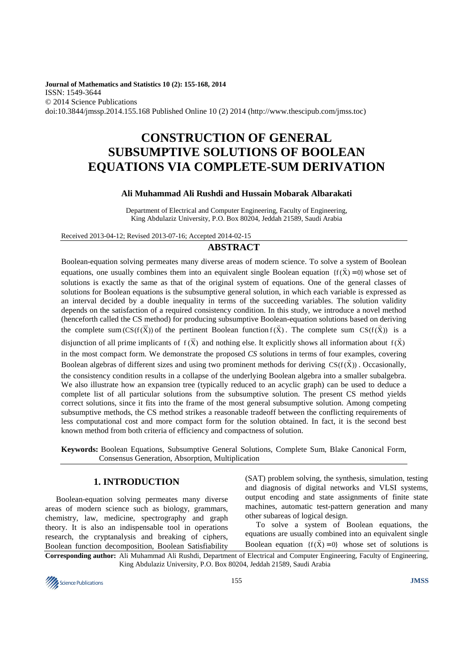**Journal of Mathematics and Statistics 10 (2): 155-168, 2014**  ISSN: 1549-3644 © 2014 Science Publications doi:10.3844/jmssp.2014.155.168 Published Online 10 (2) 2014 (http://www.thescipub.com/jmss.toc)

# **CONSTRUCTION OF GENERAL SUBSUMPTIVE SOLUTIONS OF BOOLEAN EQUATIONS VIA COMPLETE-SUM DERIVATION**

# **Ali Muhammad Ali Rushdi and Hussain Mobarak Albarakati**

Department of Electrical and Computer Engineering, Faculty of Engineering, King Abdulaziz University, P.O. Box 80204, Jeddah 21589, Saudi Arabia

Received 2013-04-12; Revised 2013-07-16; Accepted 2014-02-15

### **ABSTRACT**

Boolean-equation solving permeates many diverse areas of modern science. To solve a system of Boolean equations, one usually combines them into an equivalent single Boolean equation  $\{f(\vec{X}) = 0\}$  whose set of solutions is exactly the same as that of the original system of equations. One of the general classes of solutions for Boolean equations is the subsumptive general solution, in which each variable is expressed as an interval decided by a double inequality in terms of the succeeding variables. The solution validity depends on the satisfaction of a required consistency condition. In this study, we introduce a novel method (henceforth called the CS method) for producing subsumptive Boolean-equation solutions based on deriving the complete sum  $\overline{\text{CS}(f(\vec{X}))}$  of the pertinent Boolean function  $f(\vec{X})$ . The complete sum  $\overline{\text{CS}(f(\vec{X}))}$  is a disjunction of all prime implicants of  $f(\vec{X})$  and nothing else. It explicitly shows all information about  $f(\vec{X})$ in the most compact form. We demonstrate the proposed *CS* solutions in terms of four examples, covering Boolean algebras of different sizes and using two prominent methods for deriving  $CS(f(\vec{X}))$ . Occasionally, the consistency condition results in a collapse of the underlying Boolean algebra into a smaller subalgebra. We also illustrate how an expansion tree (typically reduced to an acyclic graph) can be used to deduce a complete list of all particular solutions from the subsumptive solution. The present CS method yields correct solutions, since it fits into the frame of the most general subsumptive solution. Among competing subsumptive methods, the CS method strikes a reasonable tradeoff between the conflicting requirements of less computational cost and more compact form for the solution obtained. In fact, it is the second best known method from both criteria of efficiency and compactness of solution.

**Keywords:** Boolean Equations, Subsumptive General Solutions, Complete Sum, Blake Canonical Form, Consensus Generation, Absorption, Multiplication

# **1. INTRODUCTION**

Boolean-equation solving permeates many diverse areas of modern science such as biology, grammars, chemistry, law, medicine, spectrography and graph theory. It is also an indispensable tool in operations research, the cryptanalysis and breaking of ciphers, Boolean function decomposition, Boolean Satisfiability (SAT) problem solving, the synthesis, simulation, testing and diagnosis of digital networks and VLSI systems, output encoding and state assignments of finite state machines, automatic test-pattern generation and many other subareas of logical design.

To solve a system of Boolean equations, the equations are usually combined into an equivalent single

**Corresponding author:** Ali Muhammad Ali Rushdi, Department of Electrical and Computer Engineering, Faculty of Engineering, King Abdulaziz University, P.O. Box 80204, Jeddah 21589, Saudi Arabia Boolean equation  $\{f(\vec{X}) = 0\}$  whose set of solutions is

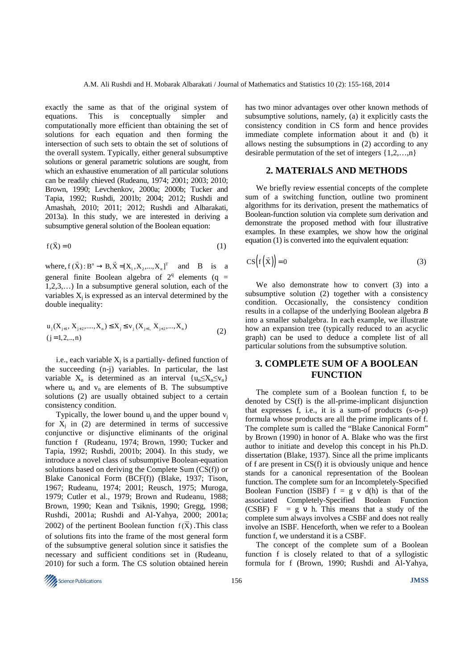exactly the same as that of the original system of equations. This is conceptually simpler and computationally more efficient than obtaining the set of solutions for each equation and then forming the intersection of such sets to obtain the set of solutions of the overall system. Typically, either general subsumptive solutions or general parametric solutions are sought, from which an exhaustive enumeration of all particular solutions can be readily chieved (Rudeanu, 1974; 2001; 2003; 2010; Brown, 1990; Levchenkov, 2000a; 2000b; Tucker and Tapia, 1992; Rushdi, 2001b; 2004; 2012; Rushdi and Amashah, 2010; 2011; 2012; Rushdi and Albarakati, 2013a). In this study, we are interested in deriving a subsumptive general solution of the Boolean equation:

$$
f(\vec{X}) = 0 \tag{1}
$$

where,  $f(\vec{X})$ :  $B^n \to B$ ,  $\vec{X} = [X_1, X_2, ..., X_n]^T$  and B is a general finite Boolean algebra of  $2^q$  elements (q = 1,2,3,…) In a subsumptive general solution, each of the variables  $X_i$  is expressed as an interval determined by the double inequality:

$$
u_j(X_{j+1}, X_{j+2},..., X_n) \le X_j \le v_j(X_{j+1}, X_{j+2},..., X_n)
$$
  
(j=1,2,...,n) (2)

i.e., each variable  $X_j$  is a partially-defined function of the succeeding (n-j) variables. In particular, the last variable  $X_n$  is determined as an interval  $\{u_n \leq X_n \leq v_n\}$ where  $u_n$  and  $v_n$  are elements of B. The subsumptive solutions (2) are usually obtained subject to a certain consistency condition.

Typically, the lower bound  $u_i$  and the upper bound  $v_i$ for  $X_j$  in (2) are determined in terms of successive conjunctive or disjunctive eliminants of the original function f (Rudeanu, 1974; Brown, 1990; Tucker and Tapia, 1992; Rushdi, 2001b; 2004). In this study, we introduce a novel class of subsumptive Boolean-equation solutions based on deriving the Complete Sum (CS(f)) or Blake Canonical Form (BCF(f)) (Blake, 1937; Tison, 1967; Rudeanu, 1974; 2001; Reusch, 1975; Muroga, 1979; Cutler et al., 1979; Brown and Rudeanu, 1988; Brown, 1990; Kean and Tsiknis, 1990; Gregg, 1998; Rushdi, 2001a; Rushdi and Al-Yahya, 2000; 2001a; 2002) of the pertinent Boolean function  $f(\vec{x})$ . This class of solutions fits into the frame of the most general form of the subsumptive general solution since it satisfies the necessary and sufficient conditions set in (Rudeanu, 2010) for such a form. The CS solution obtained herein

has two minor advantages over other known methods of subsumptive solutions, namely, (a) it explicitly casts the consistency condition in CS form and hence provides immediate complete information about it and (b) it allows nesting the subsumptions in (2) according to any desirable permutation of the set of integers  $\{1,2,...,n\}$ 

## **2. MATERIALS AND METHODS**

We briefly review essential concepts of the complete sum of a switching function, outline two prominent algorithms for its derivation, present the mathematics of Boolean-function solution via complete sum derivation and demonstrate the proposed method with four illustrative examples. In these examples, we show how the original equation (1) is converted into the equivalent equation:

$$
CS(f(\vec{X})) = 0
$$
 (3)

We also demonstrate how to convert (3) into a subsumptive solution (2) together with a consistency condition. Occasionally, the consistency condition results in a collapse of the underlying Boolean algebra *B*  into a smaller subalgebra. In each example, we illustrate how an expansion tree (typically reduced to an acyclic graph) can be used to deduce a complete list of all particular solutions from the subsumptive solution.

# **3. COMPLETE SUM OF A BOOLEAN FUNCTION**

The complete sum of a Boolean function f, to be denoted by CS(f) is the all-prime-implicant disjunction that expresses f, i.e., it is a sum-of products (s-o-p) formula whose products are all the prime implicants of f. The complete sum is called the "Blake Canonical Form" by Brown (1990) in honor of A. Blake who was the first author to initiate and develop this concept in his Ph.D. dissertation (Blake, 1937). Since all the prime implicants of f are present in CS(f) it is obviously unique and hence stands for a canonical representation of the Boolean function. The complete sum for an Incompletely-Specified Boolean Function (ISBF)  $f = g v d(h)$  is that of the associated Completely-Specified Boolean Function (CSBF)  $F = g v h$ . This means that a study of the complete sum always involves a CSBF and does not really involve an ISBF. Henceforth, when we refer to a Boolean function f, we understand it is a CSBF.

The concept of the complete sum of a Boolean function f is closely related to that of a syllogistic formula for f (Brown, 1990; Rushdi and Al-Yahya,

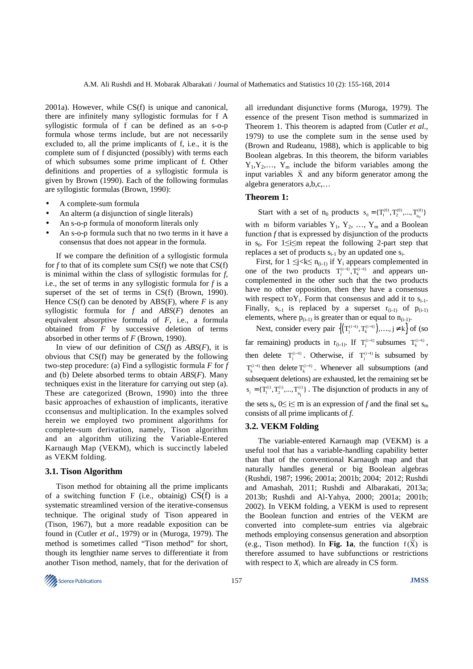2001a). However, while CS(f) is unique and canonical, there are infinitely many syllogistic formulas for f A syllogistic formula of f can be defined as an s-o-p formula whose terms include, but are not necessarily excluded to, all the prime implicants of f, i.e., it is the complete sum of f disjuncted (possibly) with terms each of which subsumes some prime implicant of f. Other definitions and properties of a syllogistic formula is given by Brown (1990). Each of the following formulas are syllogistic formulas (Brown, 1990):

- A complete-sum formula
- An alterm (a disjunction of single literals)
- An s-o-p formula of monoform literals only
- An s-o-p formula such that no two terms in it have a consensus that does not appear in the formula.

If we compare the definition of a syllogistic formula for *f* to that of its complete sum CS(f) we note that CS(f) is minimal within the class of syllogistic formulas for *f*, i.e., the set of terms in any syllogistic formula for *f* is a superset of the set of terms in CS(f) (Brown, 1990). Hence  $CS(f)$  can be denoted by ABS(F), where *F* is any syllogistic formula for *f* and *ABS*(*F*) denotes an equivalent absorptive formula of *F*, i.e., a formula obtained from *F* by successive deletion of terms absorbed in other terms of *F* (Brown, 1990).

In view of our definition of *CS*(*f*) as *ABS*(*F*), it is obvious that CS(f) may be generated by the following two-step procedure: (a) Find a syllogistic formula *F* for *f*  and (b) Delete absorbed terms to obtain *ABS*(*F*). Many techniques exist in the literature for carrying out step (a). These are categorized (Brown, 1990) into the three basic approaches of exhaustion of implicants, iterative cconsensus and multiplication. In the examples solved herein we employed two prominent algorithms for complete-sum derivation, namely, Tison algorithm and an algorithm utilizing the Variable-Entered Karnaugh Map (VEKM), which is succinctly labeled as VEKM folding.

#### **3.1. Tison Algorithm**

Tison method for obtaining all the prime implicants of a switching function F (i.e., obtainig)  $CS(f)$  is a systematic streamlined version of the iterative-consensus technique. The original study of Tison appeared in (Tison, 1967), but a more readable exposition can be found in (Cutler *et al*., 1979) or in (Muroga, 1979). The method is sometimes called "Tison method" for short, though its lengthier name serves to differentiate it from another Tison method, namely, that for the derivation of all irredundant disjunctive forms (Muroga, 1979). The essence of the present Tison method is summarized in Theorem 1. This theorem is adapted from (Cutler *et al*., 1979) to use the complete sum in the sense used by (Brown and Rudeanu, 1988), which is applicable to big Boolean algebras. In this theorem, the biform variables  $Y_1, Y_2, \ldots, Y_m$  include the biform variables among the input variables  $\vec{X}$  and any biform generator among the algebra generators a,b,c,…

### **Theorem 1:**

Start with a set of  $n_0$  products  $s_0 = \{T_1^{(0)}, T_2^{(0)}, ..., T_{n_0}^{(0)}\}$  $s_0 = \{\mathbf{T}_1^{(0)}, \mathbf{T}_2^{(0)}, ..., \mathbf{T}_{n_0}^{(0)}\}$ 

with m biform variables  $Y_1, Y_2, ..., Y_m$  and a Boolean function *f* that is expressed by disjunction of the products in  $s_0$ . For 1≤i≤m repeat the following 2-part step that replaces a set of products  $s_{i-1}$  by an updated one  $s_i$ .

First, for  $1 \le j < k \le n_{(i-1)}$  if Y<sub>i</sub> appears complemented in one of the two products  $T_j^{(i-1)}$ ,  $T_k^{(i-1)}$  and appears uncomplemented in the other such that the two products have no other opposition, then they have a consensus with respect to  $Y_i$ . Form that consensus and add it to  $s_{i-1}$ . Finally,  $s_{i-1}$  is replaced by a superset  $r_{(i-1)}$  of  $p_{(i-1)}$ elements, where  $p_{(i-1)}$  is greater than or equal to  $n_{(i-1)}$ .

Next, consider every pair  $\left\{ (T_j^{(i-1)}, T_k^{(i-1)}), \ldots, j \neq k \right\}$  of (so far remaining) products in  $r_{(i-1)}$ . If  $T_j^{(i-1)}$  subsumes  $T_k^{(i-1)}$ , then delete  $T_j^{(i-1)}$ . Otherwise, if  $T_j^{(i-1)}$  is subsumed by  $T_k^{(i-1)}$  then delete  $T_k^{(i-1)}$ . Whenever all subsumptions (and subsequent deletions) are exhausted, let the remaining set be  $s_i = \{T_i^{(i)}, T_2^{(i)}, \dots, T_{n_i}^{(i)}\}$ . The disjunction of products in any of the sets  $s_i$ ,  $0 \le i \le m$  is an expression of *f* and the final set  $s_m$ consists of all prime implicants of *f*.

#### **3.2. VEKM Folding**

 The variable-entered Karnaugh map (VEKM) is a useful tool that has a variable-handling capability better than that of the conventional Karnaugh map and that naturally handles general or big Boolean algebras (Rushdi, 1987; 1996; 2001a; 2001b; 2004; 2012; Rushdi and Amashah, 2011; Rushdi and Albarakati, 2013a; 2013b; Rushdi and Al-Yahya, 2000; 2001a; 2001b; 2002). In VEKM folding, a VEKM is used to represent the Boolean function and entries of the VEKM are converted into complete-sum entries via algebraic methods employing consensus generation and absorption (e.g., Tison method). In **Fig. 1a**, the function  $f(X)$  is therefore assumed to have subfunctions or restrictions with respect to  $X_i$  which are already in CS form.

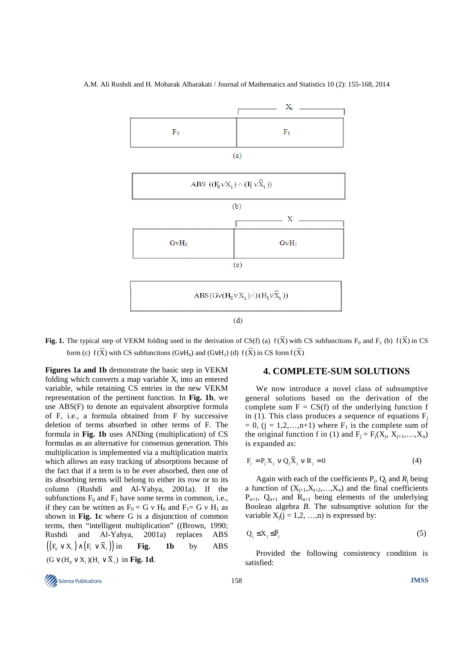



**Fig. 1.** The typical step of VEKM folding used in the derivation of CS(f) (a)  $f(\vec{X})$  with CS subfuncitons  $F_0$  and  $F_1$  (b)  $f(\vec{X})$  in CS form (c)  $f(\vec{X})$  with CS subfuncitons (GvH<sub>0</sub>) and (GvH<sub>1</sub>) (d)  $f(\vec{X})$  in CS form  $f(\vec{X})$ 

**Figures 1a and 1b** demonstrate the basic step in VEKM folding which converts a map variable  $X_i$  into an entered variable, while retaining CS entries in the new VEKM representation of the pertinent function. In **Fig. 1b**, we use ABS(F) to denote an equivalent absorptive formula of F, i.e., a formula obtained from F by successive deletion of terms absorbed in other terms of F. The formula in **Fig. 1b** uses ANDing (multiplication) of CS formulas as an alternative for consensus generation. This multiplication is implemented via a multiplication matrix which allows an easy tracking of absorptions because of the fact that if a term is to be ever absorbed, then one of its absorbing terms will belong to either its row or to its column (Rushdi and Al-Yahya, 2001a). If the subfunctions  $F_0$  and  $F_1$  have some terms in common, i.e., if they can be written as  $F_0 = G v H_0$  and  $F_1 = G v H_1$  as shown in **Fig. 1c** where G is a disjunction of common terms, then "intelligent multiplication" ((Brown, 1990; Rushdi and Al-Yahya, 2001a) replaces ABS  $((F_0 \vee X_i) \wedge (F_i \vee \overline{X}_i))$  in **Fig.** 1b by ABS  $(G \vee (H_0 \vee X_i)(H_1 \vee \overline{X}_i)$  in **Fig. 1d**.

# **4. COMPLETE-SUM SOLUTIONS**

We now introduce a novel class of subsumptive general solutions based on the derivation of the complete sum  $F = CS(f)$  of the underlying function f in (1). This class produces a sequence of equations  $F_i$  $= 0$ , (j = 1,2,...,n+1) where  $F_1$  is the complete sum of the original function f in (1) and  $F_j = F_j(X_j, X_{j+1},...,X_n)$ is expanded as:

$$
\mathbf{F}_j = \mathbf{P}_j \mathbf{X}_j \ \mathbf{v} \ \mathbf{Q}_j \overline{\mathbf{X}}_j \ \mathbf{v} \ \mathbf{R}_j = 0 \tag{4}
$$

Again with each of the coefficients  $P_j$ ,  $Q_j$  and  $R_j$  being a function of  $(X_{j+1}, X_{j+2},..., X_n)$  and the final coefficients  $P_{n+1}$ ,  $Q_{n+1}$  and  $R_{n+1}$  being elements of the underlying Boolean algebra *B*. The subsumptive solution for the variable  $X_i$ (j = 1,2, ...,n) is expressed by:

$$
Q_j \leq X_j \leq \overline{P}_j \tag{5}
$$

Provided the following consistency condition is satisfied:

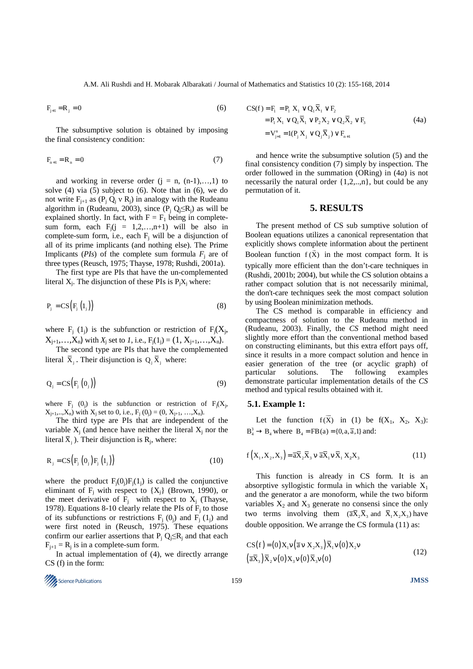$$
F_{j+1} = R_j = 0 \tag{6}
$$

The subsumptive solution is obtained by imposing the final consistency condition:

$$
F_{n+1} = R_n = 0 \tag{7}
$$

and working in reverse order  $(i = n, (n-1), \ldots, 1)$  to solve (4) via (5) subject to (6). Note that in (6), we do not write  $F_{j+1}$  as  $(P_j Q_j \vee R_j)$  in analogy with the Rudeanu algorithm in (Rudeanu, 2003), since  $(P_j Q_j \le R_j)$  as will be explained shortly. In fact, with  $F = F_1$  being in completesum form, each  $F_j$ (j = 1,2,...,n+1) will be also in complete-sum form, i.e., each  $F_j$  will be a disjunction of all of its prime implicants (and nothing else). The Prime Implicants ( $PIs$ ) of the complete sum formula  $F_j$  are of three types (Reusch, 1975; Thayse, 1978; Rushdi, 2001a).

The first type are PIs that have the un-complemented literal  $X_j$ . The disjunction of these PIs is  $P_jX_j$  where:

$$
P_j = CS(F_j(l_j))
$$
\n(8)

where  $F_j$  (1<sub>j</sub>) is the subfunction or restriction of  $F_j(X_j,$  $X_{j+1},...,X_n$  with  $X_j$  set to *1*, i.e.,  $F_j(1_j) = (1, X_{j+1},...,X_n)$ .

The second type are PIs that have the complemented literal  $\bar{X}_i$ . Their disjunction is  $Q_i \bar{X}_i$  where:

$$
Q_j = CS(F_j(0_j))
$$
\n(9)

where  $F_j$  (0<sub>j</sub>) is the subfunction or restriction of  $F_j(X_j,$  $X_{j+1},...,X_n$  with  $X_j$  set to 0, i.e.,  $F_j(0_j) = (0, X_{j+1}, ..., X_n)$ .

The third type are PIs that are independent of the variable  $X_j$  (and hence have neither the literal  $X_j$  nor the literal  $\overline{X}_j$ ). Their disjunction is  $R_j$ , where:

$$
\mathbf{R}_{j} = \mathbf{CS} \big( \mathbf{F}_{j} \left( 0_{j} \right) \mathbf{F}_{j} \left( 1_{j} \right) \big) \tag{10}
$$

where the product  $F_i(0_i)F_i(1_i)$  is called the conjunctive eliminant of  $F_j$  with respect to  $\{X_j\}$  (Brown, 1990), or the meet derivative of  $F_j$  with respect to  $X_j$  (Thayse, 1978). Equations 8-10 clearly relate the PIs of  $F_j$  to those of its subfunctions or restrictions  $F_i$  (0<sub>j</sub>) and  $F_i$  (1<sub>j</sub>) and were first noted in (Reusch, 1975). These equations confirm our earlier assertions that  $P_j Q_j \le R_j$  and that each  $F_{j+1} = R_j$  is in a complete-sum form.

In actual implementation of (4), we directly arrange CS (f) in the form:

Science Publications 159 **JMSS** 

$$
CS(f) = F_1 = P_1 X_1 \vee Q_1 \overline{X}_1 \vee F_2
$$
  
=  $P_1 X_1 \vee Q_1 \overline{X}_1 \vee P_2 X_2 \vee Q_2 \overline{X}_2 \vee F_3$   
=  $V_{j=1}^n = I(P_j X_j \vee Q_j \overline{X}_j) \vee F_{n+1}$  (4a)

and hence write the subsumptive solution (5) and the final consistency condition (7) simply by inspection. The order followed in the summation (ORing) in (4*a*) is not necessarily the natural order {1,2,..,n}, but could be any permutation of it.

## **5. RESULTS**

The present method of CS sub sumptive solution of Boolean equations utilizes a canonical representation that explicitly shows complete information about the pertinent Boolean function  $f(x)$  in the most compact form. It is typically more efficient than the don't-care techniques in (Rushdi, 2001b; 2004), but while the CS solution obtains a rather compact solution that is not necessarily minimal, the don't-care techniques seek the most compact solution by using Boolean minimization methods.

The CS method is comparable in efficiency and compactness of solution to the Rudeanu method in (Rudeanu, 2003). Finally, the *CS* method might need slightly more effort than the conventional method based on constructing eliminants, but this extra effort pays off, since it results in a more compact solution and hence in easier generation of the tree (or acyclic graph) of particular solutions. The following examples demonstrate particular implementation details of the *CS*  method and typical results obtained with it.

#### **5.1. Example 1:**

Let the function  $f(\vec{X})$  in (1) be  $f(X_1, X_2, X_3)$ :  $B_4^3 \rightarrow B_4$  where  $B_4 = FB(a) = \{0, a, \overline{a}, 1\}$  and:

$$
f\left(X_1, X_2, X_3\right) = \overline{aX}_2 \overline{X}_3 \, v \, \overline{aX}_1 \, v \, \overline{X}_1 \, X_2 X_3 \tag{11}
$$

This function is already in CS form. It is an absorptive syllogistic formula in which the variable  $X_1$ and the generator a are monoform, while the two biform variables  $X_2$  and  $X_3$  generate no consensi since the only two terms involving them  $(\overline{a} \overline{X}_2 \overline{X}_3)$  and  $\overline{X}_1 X_2 X_3$  have double opposition. We arrange the CS formula (11) as:

$$
CS(f) = (0)X_1v(\overline{a}v X_2X_3)\overline{X}_1v(0)X_2v
$$
  
\n
$$
(\overline{a}X_3)\overline{X}_2v(0)X_3v(0)\overline{X}_3v(0)
$$
\n(12)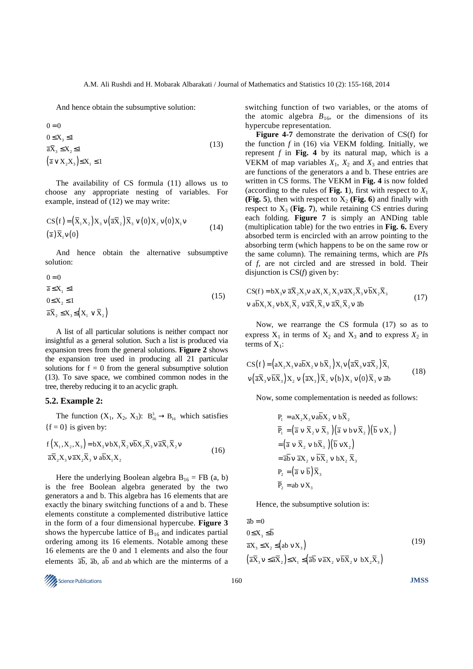And hence obtain the subsumptive solution:

 $(\overline{a} \vee X_2 X_3) \leq X_1 \leq 1$  $0 \leq X_3 \leq 1$  $\overline{a}X_3 \leq X_2 \leq 1$  $0 = 0$ (13)

The availability of CS formula (11) allows us to choose any appropriate nesting of variables. For example, instead of (12) we may write:

$$
CS(f) = (\overline{X}_1 X_2) X_3 v (\overline{a} \overline{X}_2) \overline{X}_3 v (0) X_2 v (0) X_1 v
$$
  
( $\overline{a}$ )  $\overline{X}_1 v (0)$  (14)

And hence obtain the alternative subsumptive solution:

$$
0 = 0
$$
  
\n
$$
\overline{a} \le X_1 \le 1
$$
  
\n
$$
0 \le X_2 \le 1
$$
  
\n
$$
\overline{a} \overline{X}_2 \le X_3 \le (X_1 \vee \overline{X}_2)
$$
\n(15)

A list of all particular solutions is neither compact nor insightful as a general solution. Such a list is produced via expansion trees from the general solutions. **Figure 2** shows the expansion tree used in producing all 21 particular solutions for  $f = 0$  from the general subsumptive solution (13). To save space, we combined common nodes in the tree, thereby reducing it to an acyclic graph.

#### **5.2. Example 2:**

The function  $(X_1, X_2, X_3)$ :  $B_{16}^3 \rightarrow B_{16}$  which satisfies  ${f = 0}$  is given by:

$$
f(X_1, X_2, X_3) = bX_3 v bX_1 X_2 v bX_2 X_3 v \overline{a} X_1 X_2 v
$$
  
\n
$$
\overline{a} \overline{X}_2 X_3 v \overline{a} X_2 \overline{X}_3 v a \overline{b} X_1 X_2
$$
\n(16)

Here the underlying Boolean algebra  $B_{16}$  = FB (a, b) is the free Boolean algebra generated by the two generators a and b. This algebra has 16 elements that are exactly the binary switching functions of a and b. These elements constitute a complemented distributive lattice in the form of a four dimensional hypercube. **Figure 3** shows the hypercube lattice of  $B_{16}$  and indicates partial ordering among its 16 elements. Notable among these 16 elements are the 0 and 1 elements and also the four elements  $\overline{ab}$ ,  $\overline{ab}$ ,  $\overline{ab}$  and ab which are the minterms of a switching function of two variables, or the atoms of the atomic algebra  $B_{16}$ , or the dimensions of its hypercube representation.

**Figure 4-7** demonstrate the derivation of CS(f) for the function *f* in (16) via VEKM folding. Initially, we represent  $f$  in Fig. 4 by its natural map, which is a VEKM of map variables  $X_1$ ,  $X_2$  and  $X_3$  and entries that are functions of the generators a and b. These entries are written in CS forms. The VEKM in **Fig. 4** is now folded (according to the rules of **Fig. 1**), first with respect to  $X_1$ **(Fig. 5**), then with respect to  $X_2$  (Fig. 6) and finally with respect to  $X_3$  (Fig. 7), while retaining CS entries during each folding. **Figure 7** is simply an ANDing table (multiplication table) for the two entries in **Fig. 6.** Every absorbed term is encircled with an arrow pointing to the absorbing term (which happens to be on the same row or the same column). The remaining terms, which are *PI*s of *f*, are not circled and are stressed in bold. Their disjunction is CS(*f*) given by:

$$
CS(f) = bX_3 v \overline{aX}_2 X_3 v aX_1 X_2 X_3 v \overline{aX}_2 \overline{X}_3 v bX_2 \overline{X}_3
$$
  
\n
$$
v a\overline{bX}_1 X_2 v bX_1 \overline{X}_2 v a\overline{X}_1 \overline{X}_3 v a\overline{X}_1 \overline{X}_2 v a\overline{b}
$$
 (17)

Now, we rearrange the CS formula (17) so as to express  $X_1$  in terms of  $X_2$  and  $X_3$  and to express  $X_2$  in terms of  $X_1$ :

$$
CS(f) = (aX_2X_3 \vee a\overline{b}X_2 \vee b\overline{X}_2)X_1 \vee (\overline{a}X_3 \vee \overline{a}X_2) \overline{X}_1
$$
  

$$
\vee (\overline{a}X_3 \vee \overline{b}X_3)X_2 \vee (\overline{a}X_3) \overline{X}_2 \vee (b)X_3 \vee (0) \overline{X}_3 \vee \overline{a}b
$$
 (18)

Now, some complementation is needed as follows:

$$
P_1 = aX_2X_3v abX_2 v b\overline{X}_2
$$
  
\n
$$
\overline{P}_1 = (\overline{a} v \overline{X}_2 v \overline{X}_3)(\overline{a} v b v \overline{X}_2)(\overline{b} v X_2)
$$
  
\n
$$
= (\overline{a} v \overline{X}_2 v b\overline{X}_3)(\overline{b} v X_2)
$$
  
\n
$$
= \overline{a} \overline{b} v \overline{a} X_2 v \overline{b} \overline{X}_2 v b X_2 \overline{X}_3
$$
  
\n
$$
P_2 = (\overline{a} v \overline{b}) \overline{X}_3
$$
  
\n
$$
\overline{P}_2 = ab v X_3
$$

Hence, the subsumptive solution is:

$$
\overline{ab} = 0
$$
  
\n
$$
0 \le X_3 \le \overline{b}
$$
  
\n
$$
\overline{a}X_3 \le X_2 \le (\overline{ab} \vee X_3)
$$
  
\n
$$
(\overline{a}X_3 \vee \le \overline{a}X_2) \le X_1 \le (\overline{ab} \vee \overline{a}X_2 \vee \overline{b}X_2 \vee bX_2 \overline{X}_3)
$$
\n(19)

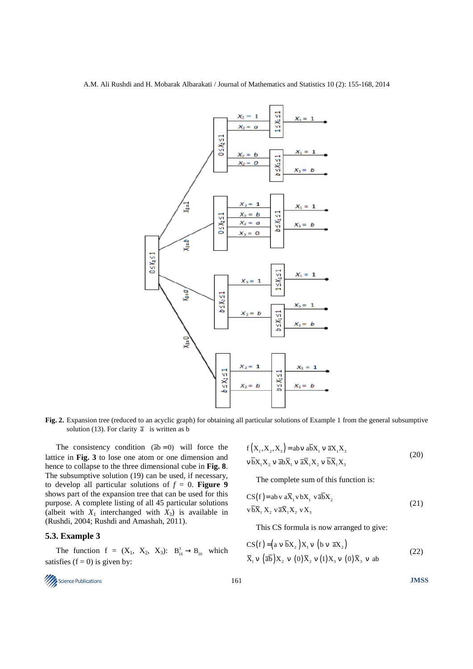

**Fig. 2.** Expansion tree (reduced to an acyclic graph) for obtaining all particular solutions of Example 1 from the general subsumptive solution (13). For clarity  $\bar{a}$  is written as b

The consistency condition  $(\overline{ab} = 0)$  will force the lattice in **Fig. 3** to lose one atom or one dimension and hence to collapse to the three dimensional cube in **Fig. 8**. The subsumptive solution (19) can be used, if necessary, to develop all particular solutions of  $f = 0$ . **Figure 9** shows part of the expansion tree that can be used for this purpose. A complete listing of all 45 particular solutions (albeit with  $X_1$  interchanged with  $X_3$ ) is available in (Rushdi, 2004; Rushdi and Amashah, 2011).

## **5.3. Example 3**

The function  $f = (X_1, X_2, X_3)$ :  $B_{16}^3 \rightarrow B_{16}$  which satisfies  $(f = 0)$  is given by:

$$
f(X_1, X_2, X_3) = abv a\overline{b}X_1 v \overline{a}X_1 X_3
$$
  
\n
$$
v \overline{b}X_1 X_2 v \overline{a}b\overline{X}_1 v \overline{a}X_1 X_2 v \overline{b}X_1 X_3
$$
\n(20)

The complete sum of this function is:

$$
CS(f) = ab v a\overline{X}_1 v bX_1 v \overline{ab}X_2
$$
  
\n
$$
v\overline{bX}_1 X_2 v \overline{aX}_1 X_2 vX_3
$$
\n(21)

This CS formula is now arranged to give:

$$
CS(f) = (a \vee \overline{b}X_2)X_1 \vee (b \vee \overline{a}X_2)
$$
  

$$
\overline{X}_1 \vee (\overline{ab})X_2 \vee (0)\overline{X}_2 \vee (1)X_3 \vee (0)\overline{X}_3 \vee ab
$$
 (22)

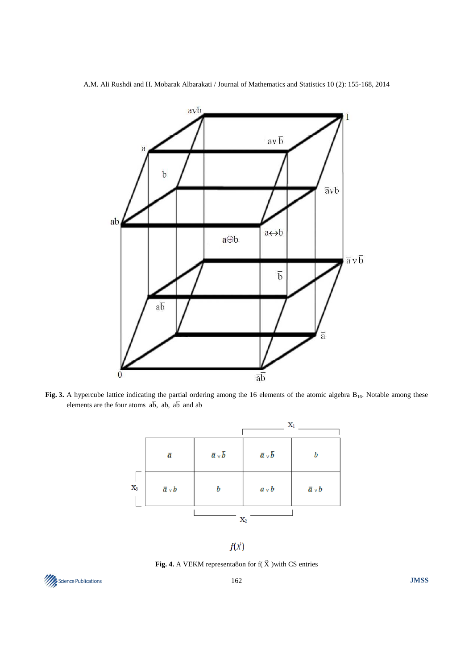

Fig. 3. A hypercube lattice indicating the partial ordering among the 16 elements of the atomic algebra B<sub>16</sub>. Notable among these elements are the four atoms  $\overline{ab}$ ,  $\overline{ab}$ ,  $\overline{ab}$  and ab

|                |                  | $\mathbf{X}_1$                   |                                  |                 |
|----------------|------------------|----------------------------------|----------------------------------|-----------------|
|                | $\bar{a}$        | $\overline{a} \vee \overline{b}$ | $\overline{a} \vee \overline{b}$ | b               |
| $\mathbf{X}_3$ | $\bar{a} \vee b$ | b                                | $a \vee b$                       | $\bar{a}$ v $b$ |
|                |                  | $\mathbf{X}_2$                   |                                  |                 |

 $f(\vec{X})$ 

**Fig. 4.** A VEKM representa8on for  $f(\vec{X})$  with CS entries

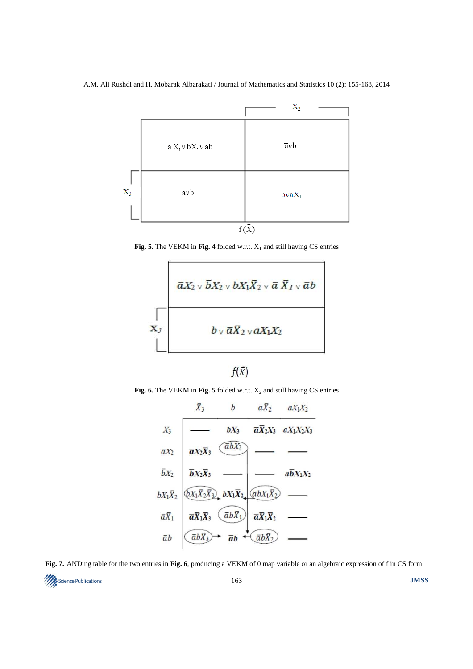

**Fig. 5.** The VEKM in Fig. 4 folded w.r.t.  $X_1$  and still having CS entries





**Fig. 6.** The VEKM in Fig. 5 folded w.r.t.  $X_2$  and still having CS entries



**Fig. 7.** ANDing table for the two entries in **Fig. 6**, producing a VEKM of 0 map variable or an algebraic expression of f in CS form

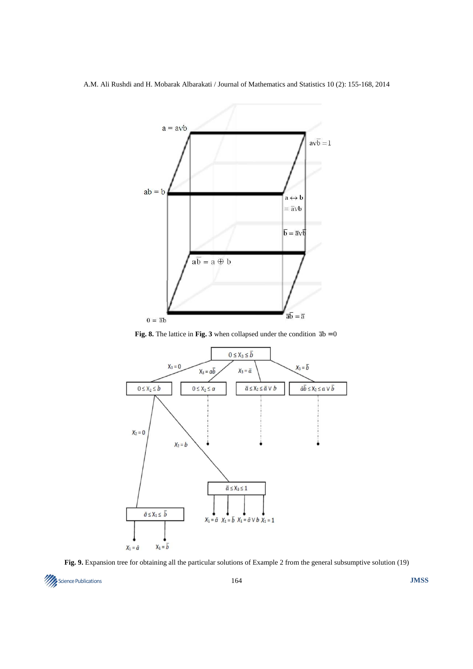

**Fig. 8.** The lattice in **Fig. 3** when collapsed under the condition  $\overline{ab} = 0$ 



Fig. 9. Expansion tree for obtaining all the particular solutions of Example 2 from the general subsumptive solution (19)

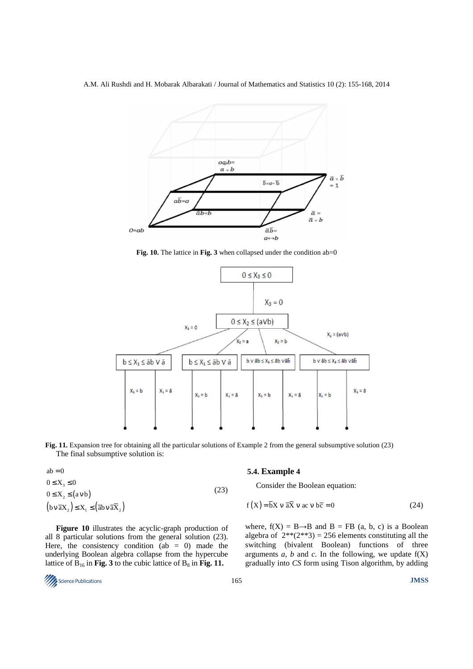

Fig. 10. The lattice in Fig. 3 when collapsed under the condition ab=0



**Fig. 11.** Expansion tree for obtaining all the particular solutions of Example 2 from the general subsumptive solution (23) The final subsumptive solution is:

| $ab = 0$                                                                                                                                                                                           |      |  |
|----------------------------------------------------------------------------------------------------------------------------------------------------------------------------------------------------|------|--|
| $0 \leq X_{2} \leq 0$                                                                                                                                                                              |      |  |
| $0 \leq X_2 \leq (a \vee b)$                                                                                                                                                                       | (23) |  |
| $\left(\mathbf{b}\mathbf{v}\,\overline{\mathbf{a}}\mathbf{X}_2\right)\leq \mathbf{X}_1 \leq \left(\overline{\mathbf{a}}\mathbf{b}\mathbf{v}\,\overline{\mathbf{a}}\overline{\mathbf{X}}_2\right).$ |      |  |

**Figure 10** illustrates the acyclic-graph production of all 8 particular solutions from the general solution (23). Here, the consistency condition (ab  $= 0$ ) made the underlying Boolean algebra collapse from the hypercube lattice of  $B_{16}$  in **Fig. 3** to the cubic lattice of  $B_8$  in **Fig. 11.** 

#### **5.4. Example 4**

Consider the Boolean equation:

$$
f(X) = \overline{b}X \vee \overline{a}X \vee ac \vee b\overline{c} = 0
$$
 (24)

where,  $f(X) = B \rightarrow B$  and  $B = FB$  (a, b, c) is a Boolean algebra of  $2^{**}(2^{**}3) = 256$  elements constituting all the switching (bivalent Boolean) functions of three arguments  $a$ ,  $b$  and  $c$ . In the following, we update  $f(X)$ gradually into *CS* form using Tison algorithm, by adding

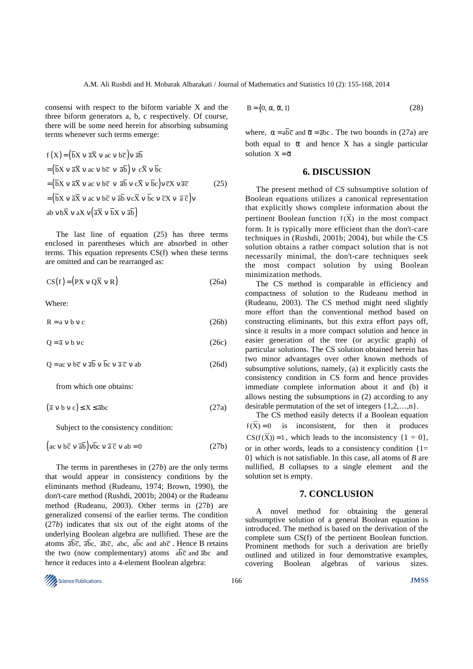consensi with respect to the biform variable X and the three biform generators a, b, c respectively. Of course, there will be some need herein for absorbing subsuming terms whenever such terms emerge:

$$
f(X) = (\overline{b}X \vee \overline{a}X \vee ac \vee b\overline{c}) \vee \overline{a}\overline{b}
$$
  
\n
$$
= (\overline{b}X \vee \overline{a}X \vee ac \vee b\overline{c} \vee \overline{a}\overline{b}) \vee c\overline{X} \vee \overline{b}c
$$
  
\n
$$
= (\overline{b}X \vee \overline{a}X \vee ac \vee b\overline{c} \vee \overline{a}\overline{b} \vee c\overline{X} \vee \overline{b}c) \vee \overline{c}X \vee \overline{a}\overline{c}
$$
  
\n
$$
= (\overline{b}X \vee \overline{a}X \vee ac \vee b\overline{c} \vee \overline{a}\overline{b} \vee c\overline{X} \vee \overline{b}c) \vee \overline{c}X \vee \overline{a}\overline{c}) \vee
$$
  
\n
$$
= (\overline{b}X \vee \overline{a}X \vee ac \vee b\overline{c} \vee \overline{a}X \vee \overline{b}C \vee \overline{a}X \vee \overline{b}C \vee \overline{c}X \vee \overline{a}C))
$$
  
\n
$$
= (\overline{b}X \vee \overline{a}X \vee \overline{a}X \vee \overline{b}X \vee \overline{a}\overline{b})
$$
  
\n
$$
= (\overline{b}X \vee \overline{a}X \vee \overline{a}X \vee \overline{b}X \vee \overline{a}\overline{b})
$$

The last line of equation (25) has three terms enclosed in parentheses which are absorbed in other terms. This equation represents CS(f) when these terms are omitted and can be rearranged as:

$$
CS(f) = (PX \vee Q\overline{X} \vee R) \tag{26a}
$$

Where:

 $R = a v b v c$  (26b)

 $Q = \overline{a} v b v c$  (26c)

 $Q = ac \vee b\overline{c} \vee \overline{ab} \vee \overline{bc} \vee \overline{a} \overline{c} \vee ab$  (26d)

from which one obtains:

 $(\overline{a} \vee b \vee c) \le X \le \overline{a}bc$  (27a)

Subject to the consistency condition:

$$
\left(\text{ac } v \text{ b}\overline{c} v \overline{\text{ab}}\right) v \overline{\text{bc}} v \overline{\text{a}} \overline{c} v \text{ab} = 0 \tag{27b}
$$

The terms in parentheses in (27*b*) are the only terms that would appear in consistency conditions by the eliminants method (Rudeanu, 1974; Brown, 1990), the don't-care method (Rushdi, 2001b; 2004) or the Rudeanu method (Rudeanu, 2003). Other terms in (27*b*) are generalized consensi of the earlier terms. The condition (27*b*) indicates that six out of the eight atoms of the underlying Boolean algebra are nullified. These are the atoms  $\overline{abc}$ ,  $\overline{abc}$ ,  $\overline{abc}$ , abc, abc and abc. Hence B retains the two (now complementary) atoms  $a\overline{b}\overline{c}$  and  $\overline{a}b\overline{c}$  and hence it reduces into a 4-element Boolean algebra:

$$
B = \{0, \alpha, \overline{\alpha}, 1\}
$$
 (28)

where,  $\alpha = a\overline{bc}$  and  $\overline{\alpha} = \overline{abc}$ . The two bounds in (27a) are both equal to  $\bar{\alpha}$  and hence X has a single particular solution  $X = \overline{\alpha}$ 

# **6. DISCUSSION**

The present method of *CS* subsumptive solution of Boolean equations utilizes a canonical representation that explicitly shows complete information about the pertinent Boolean function  $f(\vec{x})$  in the most compact form. It is typically more efficient than the don't-care techniques in (Rushdi, 2001b; 2004), but while the CS solution obtains a rather compact solution that is not necessarily minimal, the don't-care techniques seek the most compact solution by using Boolean minimization methods.

The CS method is comparable in efficiency and compactness of solution to the Rudeanu method in (Rudeanu, 2003). The CS method might need slightly more effort than the conventional method based on constructing eliminants, but this extra effort pays off, since it results in a more compact solution and hence in easier generation of the tree (or acyclic graph) of particular solutions. The CS solution obtained herein has two minor advantages over other known methods of subsumptive solutions, namely, (a) it explicitly casts the consistency condition in CS form and hence provides immediate complete information about it and (b) it allows nesting the subsumptions in (2) according to any desirable permutation of the set of integers {1,2,…,n}.

The CS method easily detects if a Boolean equation  $f(\vec{X}) = 0$  is inconsistent, for then it produces  $CS(f(\vec{x}))=1$ , which leads to the inconsistency  $\{1 = 0\}$ , or in other words, leads to a consistency condition  $\{1=$ 0} which is not satisfiable. In this case, all atoms of *B* are nullified, *B* collapses to a single element and the solution set is empty.

# **7. CONCLUSION**

A novel method for obtaining the general subsumptive solution of a general Boolean equation is introduced. The method is based on the derivation of the complete sum CS(f) of the pertinent Boolean function. Prominent methods for such a derivation are briefly outlined and utilized in four demonstrative examples, covering Boolean algebras of various sizes.

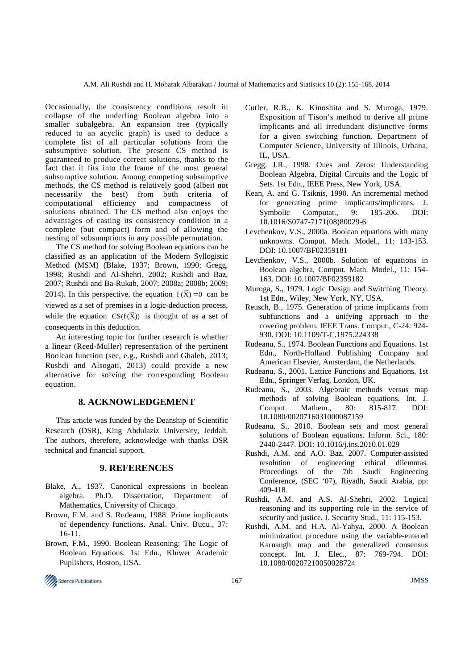Occasionally, the consistency conditions result in collapse of the underling Boolean algebra into a smaller subalgebra. An expansion tree (typically reduced to an acyclic graph) is used to deduce a complete list of all particular solutions from the subsumptive solution. The present CS method is guaranteed to produce correct solutions, thanks to the fact that it fits into the frame of the most general subsumptive solution. Among competing subsumptive methods, the CS method is relatively good (albeit not necessarily the best) from both criteria of computational efficiency and compactness of solutions obtained. The CS method also enjoys the advantages of casting its consistency condition in a complete (but compact) form and of allowing the nesting of subsumptions in any possible permutation.

The CS method for solving Boolean equations can be classified as an application of the Modern Syllogistic Method (MSM) (Blake, 1937; Brown, 1990; Gregg, 1998; Rushdi and Al-Shehri, 2002; Rushdi and Baz, 2007; Rushdi and Ba-Rukab, 2007; 2008a; 2008b; 2009; 2014). In this perspective, the equation  $f(\vec{x}) = 0$  can be viewed as a set of premises in a logic-deduction process, while the equation  $CS(f(\vec{X}))$  is thought of as a set of consequents in this deduction.

An interesting topic for further research is whether a linear (Reed-Muller) representation of the pertinent Boolean function (see, e.g., Rushdi and Ghaleb, 2013; Rushdi and Alsogati, 2013) could provide a new alternative for solving the corresponding Boolean equation.

# **8. ACKNOWLEDGEMENT**

This article was funded by the Deanship of Scientific Research (DSR), King Abdulaziz University, Jeddah. The authors, therefore, acknowledge with thanks DSR technical and financial support.

## **9. REFERENCES**

- Blake, A., 1937. Canonical expressions in boolean algebra. Ph.D. Dissertation, Department of Mathematics, University of Chicago.
- Brown, F.M. and S. Rudeanu, 1988. Prime implicants of dependency functions. Anal. Univ. Bucu., 37: 16-11.
- Brown, F.M., 1990. Boolean Reasoning: The Logic of Boolean Equations. 1st Edn., Kluwer Academic Puplishers, Boston, USA.
- Cutler, R.B., K. Kinoshita and S. Muroga, 1979. Exposition of Tison's method to derive all prime implicants and all irredundant disjunctive forms for a given switching function. Department of Computer Science, University of Illinois, Urbana, IL, USA.
- Gregg, J.R., 1998. Ones and Zeros: Understanding Boolean Algebra, Digital Circuits and the Logic of Sets. 1st Edn., IEEE Press, New York, USA.
- Kean, A. and G. Tsiknis, 1990. An incremental method for generating prime implicants/implicates. J. Symbolic Computat., 9: 185-206. DOI: 10.1016/S0747-7171(08)80029-6
- Levchenkov, V.S., 2000a. Boolean equations with many unknowns. Comput. Math. Model., 11: 143-153. DOI: 10.1007/BF02359181
- Levchenkov, V.S., 2000b. Solution of equations in Boolean algebra, Comput. Math. Model., 11: 154- 163. DOI: 10.1007/BF02359182
- Muroga, S., 1979. Logic Design and Switching Theory. 1st Edn., Wiley, New York, NY, USA.
- Reusch, B., 1975. Generation of prime implicants from subfunctions and a unifying approach to the covering problem. IEEE Trans. Comput., C-24: 924- 930. DOI: 10.1109/T-C.1975.224338
- Rudeanu, S., 1974. Boolean Functions and Equations. 1st Edn., North-Holland Publishing Company and American Elsevier, Amsterdam, the Netherlands.
- Rudeanu, S., 2001. Lattice Functions and Equations. 1st Edn., Springer Verlag, London, UK.
- Rudeanu, S., 2003. Algebraic methods versus map methods of solving Boolean equations. Int. J. Comput. Mathem., 80: 815-817. DOI: 10.1080/0020716031000087159
- Rudeanu, S., 2010. Boolean sets and most general solutions of Boolean equations. Inform. Sci., 180: 2440-2447. DOI: 10.1016/j.ins.2010.01.029
- Rushdi, A.M. and A.O. Baz, 2007. Computer-assisted resolution of engineering ethical dilemmas. Proceedings of the 7th Saudi Engineering Conference, (SEC '07), Riyadh, Saudi Arabia, pp: 409-418.
- Rushdi, A.M. and A.S. Al-Shehri, 2002. Logical reasoning and its supporting role in the service of security and justice. J. Security Stud., 11: 115-153.
- Rushdi, A.M. and H.A. Al-Yahya, 2000. A Boolean minimization procedure using the variable-entered Karnaugh map and the generalized consensus concept. Int. J. Elec., 87: 769-794. DOI: 10.1080/00207210050028724